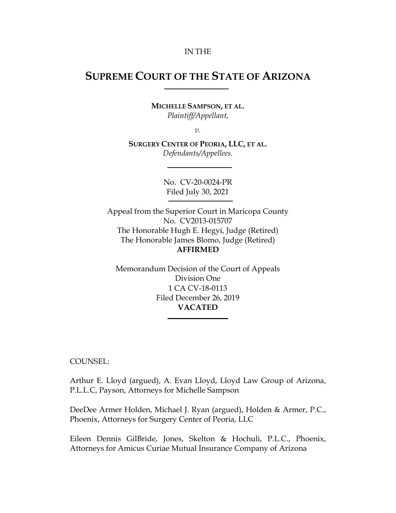#### IN THE

# **SUPREME COURT OF THE STATE OF ARIZONA**

**MICHELLE SAMPSON, ET AL.** *Plaintiff/Appellant*,

*v.*

**SURGERY CENTER OF PEORIA, LLC, ET AL.** *Defendants/Appellees.*

> No. CV-20-0024-PR Filed July 30, 2021

Appeal from the Superior Court in Maricopa County No. CV2013-015707 The Honorable Hugh E. Hegyi, Judge (Retired) The Honorable James Blomo, Judge (Retired) **AFFIRMED**

Memorandum Decision of the Court of Appeals Division One 1 CA CV-18-0113 Filed December 26, 2019 **VACATED**

COUNSEL:

Arthur E. Lloyd (argued), A. Evan Lloyd, Lloyd Law Group of Arizona, P.L.L.C, Payson, Attorneys for Michelle Sampson

DeeDee Armer Holden, Michael J. Ryan (argued), Holden & Armer, P.C., Phoenix, Attorneys for Surgery Center of Peoria, LLC

Eileen Dennis GilBride, Jones, Skelton & Hochuli, P.L.C., Phoenix, Attorneys for Amicus Curiae Mutual Insurance Company of Arizona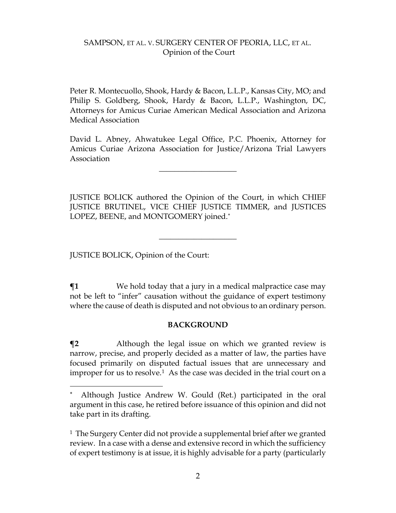Peter R. Montecuollo, Shook, Hardy & Bacon, L.L.P., Kansas City, MO; and Philip S. Goldberg, Shook, Hardy & Bacon, L.L.P., Washington, DC, Attorneys for Amicus Curiae American Medical Association and Arizona Medical Association

David L. Abney, Ahwatukee Legal Office, P.C. Phoenix, Attorney for Amicus Curiae Arizona Association for Justice/Arizona Trial Lawyers Association

 $\overline{\phantom{a}}$  , where  $\overline{\phantom{a}}$ 

JUSTICE BOLICK authored the Opinion of the Court, in which CHIEF JUSTICE BRUTINEL, VICE CHIEF JUSTICE TIMMER, and JUSTICES LOPEZ, BEENE, and MONTGOMERY joined.[\\*](#page-1-0)

 $\overline{\phantom{a}}$  , where  $\overline{\phantom{a}}$  , where  $\overline{\phantom{a}}$ 

JUSTICE BOLICK, Opinion of the Court:

**¶1** We hold today that a jury in a medical malpractice case may not be left to "infer" causation without the guidance of expert testimony where the cause of death is disputed and not obvious to an ordinary person.

#### **BACKGROUND**

**¶2** Although the legal issue on which we granted review is narrow, precise, and properly decided as a matter of law, the parties have focused primarily on disputed factual issues that are unnecessary and improper for us to resolve.<sup>[1](#page-1-1)</sup> As the case was decided in the trial court on a

<span id="page-1-0"></span>Although Justice Andrew W. Gould (Ret.) participated in the oral argument in this case, he retired before issuance of this opinion and did not take part in its drafting.

<span id="page-1-1"></span><sup>&</sup>lt;sup>1</sup> The Surgery Center did not provide a supplemental brief after we granted review. In a case with a dense and extensive record in which the sufficiency of expert testimony is at issue, it is highly advisable for a party (particularly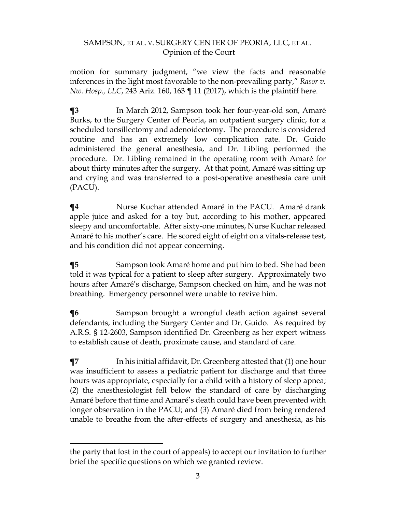motion for summary judgment, "we view the facts and reasonable inferences in the light most favorable to the non-prevailing party," *Rasor v. Nw. Hosp., LLC*, 243 Ariz. 160, 163 ¶ 11 (2017), which is the plaintiff here.

**¶3** In March 2012, Sampson took her four-year-old son, Amaré Burks, to the Surgery Center of Peoria, an outpatient surgery clinic, for a scheduled tonsillectomy and adenoidectomy. The procedure is considered routine and has an extremely low complication rate. Dr. Guido administered the general anesthesia, and Dr. Libling performed the procedure. Dr. Libling remained in the operating room with Amaré for about thirty minutes after the surgery. At that point, Amaré was sitting up and crying and was transferred to a post-operative anesthesia care unit (PACU).

**¶4** Nurse Kuchar attended Amaré in the PACU. Amaré drank apple juice and asked for a toy but, according to his mother, appeared sleepy and uncomfortable. After sixty-one minutes, Nurse Kuchar released Amaré to his mother's care. He scored eight of eight on a vitals-release test, and his condition did not appear concerning.

**¶5** Sampson took Amaré home and put him to bed. She had been told it was typical for a patient to sleep after surgery. Approximately two hours after Amaré's discharge, Sampson checked on him, and he was not breathing. Emergency personnel were unable to revive him.

**¶6** Sampson brought a wrongful death action against several defendants, including the Surgery Center and Dr. Guido. As required by A.R.S. § 12-2603, Sampson identified Dr. Greenberg as her expert witness to establish cause of death, proximate cause, and standard of care.

**¶7** In his initial affidavit, Dr. Greenberg attested that (1) one hour was insufficient to assess a pediatric patient for discharge and that three hours was appropriate, especially for a child with a history of sleep apnea; (2) the anesthesiologist fell below the standard of care by discharging Amaré before that time and Amaré's death could have been prevented with longer observation in the PACU; and (3) Amaré died from being rendered unable to breathe from the after-effects of surgery and anesthesia, as his

the party that lost in the court of appeals) to accept our invitation to further brief the specific questions on which we granted review.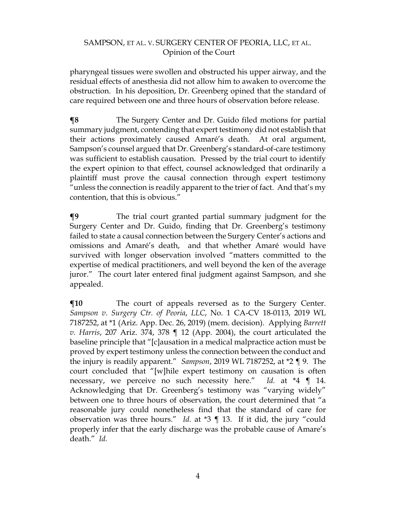pharyngeal tissues were swollen and obstructed his upper airway, and the residual effects of anesthesia did not allow him to awaken to overcome the obstruction. In his deposition, Dr. Greenberg opined that the standard of care required between one and three hours of observation before release.

**¶8** The Surgery Center and Dr. Guido filed motions for partial summary judgment, contending that expert testimony did not establish that their actions proximately caused Amaré's death. At oral argument, Sampson's counsel argued that Dr. Greenberg's standard-of-care testimony was sufficient to establish causation. Pressed by the trial court to identify the expert opinion to that effect, counsel acknowledged that ordinarily a plaintiff must prove the causal connection through expert testimony "unless the connection is readily apparent to the trier of fact. And that's my contention, that this is obvious."

**¶9** The trial court granted partial summary judgment for the Surgery Center and Dr. Guido, finding that Dr. Greenberg's testimony failed to state a causal connection between the Surgery Center's actions and omissions and Amaré's death, and that whether Amaré would have survived with longer observation involved "matters committed to the expertise of medical practitioners, and well beyond the ken of the average juror." The court later entered final judgment against Sampson, and she appealed.

 $\P$ **10** The court of appeals reversed as to the Surgery Center. *Sampson v. Surgery Ctr. of Peoria*, *LLC*, No. 1 CA-CV 18-0113, 2019 WL 7187252, at \*1 (Ariz. App. Dec. 26, 2019) (mem. decision). Applying *Barrett v. Harris*, 207 Ariz. 374, 378 ¶ 12 (App. 2004), the court articulated the baseline principle that "[c]ausation in a medical malpractice action must be proved by expert testimony unless the connection between the conduct and the injury is readily apparent." *Sampson*, 2019 WL 7187252, at \*2 ¶ 9. The court concluded that "[w]hile expert testimony on causation is often necessary, we perceive no such necessity here." *Id.* at \*4 ¶ 14. Acknowledging that Dr. Greenberg's testimony was "varying widely" between one to three hours of observation, the court determined that "a reasonable jury could nonetheless find that the standard of care for observation was three hours." *Id.* at \*3 ¶ 13. If it did, the jury "could properly infer that the early discharge was the probable cause of Amare's death." *Id.*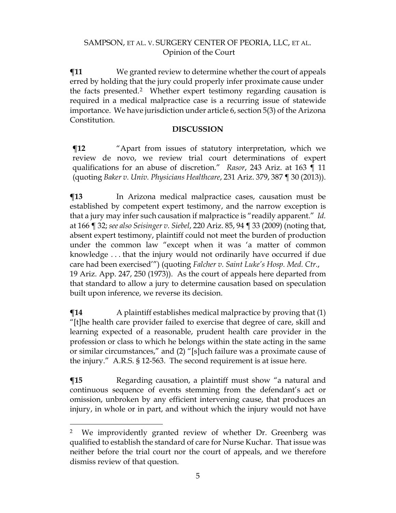**¶11** We granted review to determine whether the court of appeals erred by holding that the jury could properly infer proximate cause under the facts presented.[2](#page-4-0) Whether expert testimony regarding causation is required in a medical malpractice case is a recurring issue of statewide importance. We have jurisdiction under article 6, section 5(3) of the Arizona Constitution.

#### **DISCUSSION**

**¶12** "Apart from issues of statutory interpretation, which we review de novo, we review trial court determinations of expert qualifications for an abuse of discretion." *Rasor*, 243 Ariz. at 163 ¶ 11 (quoting *Baker v. Univ. Physicians Healthcare*, 231 Ariz. 379, 387 ¶ 30 (2013)).

**¶13** In Arizona medical malpractice cases, causation must be established by competent expert testimony, and the narrow exception is that a jury may infer such causation if malpractice is "readily apparent." *Id.* at 166 ¶ 32; *see also Seisinger v. Siebel*, 220 Ariz. 85, 94 ¶ 33 (2009) (noting that, absent expert testimony, plaintiff could not meet the burden of production under the common law "except when it was 'a matter of common knowledge . . . that the injury would not ordinarily have occurred if due care had been exercised'") (quoting *Falcher v. Saint Luke's Hosp. Med. Ctr.*, 19 Ariz. App. 247, 250 (1973)). As the court of appeals here departed from that standard to allow a jury to determine causation based on speculation built upon inference, we reverse its decision.

 $\P$ **14** A plaintiff establishes medical malpractice by proving that (1) "[t]he health care provider failed to exercise that degree of care, skill and learning expected of a reasonable, prudent health care provider in the profession or class to which he belongs within the state acting in the same or similar circumstances," and (2) "[s]uch failure was a proximate cause of the injury." A.R.S. § 12-563. The second requirement is at issue here.

**¶15** Regarding causation, a plaintiff must show "a natural and continuous sequence of events stemming from the defendant's act or omission, unbroken by any efficient intervening cause, that produces an injury, in whole or in part, and without which the injury would not have

<span id="page-4-0"></span><sup>&</sup>lt;sup>2</sup> We improvidently granted review of whether Dr. Greenberg was qualified to establish the standard of care for Nurse Kuchar. That issue was neither before the trial court nor the court of appeals, and we therefore dismiss review of that question.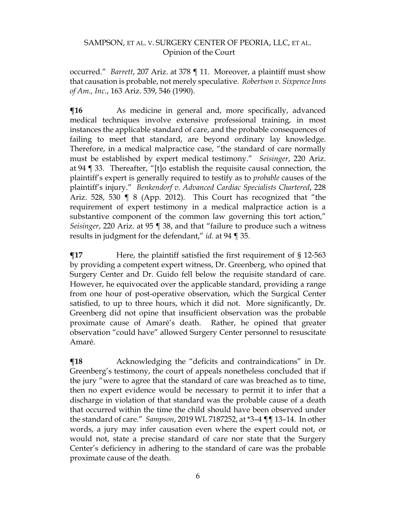occurred." *Barrett*, 207 Ariz. at 378 ¶ 11. Moreover, a plaintiff must show that causation is probable, not merely speculative. *Robertson v. Sixpence Inns of Am., Inc.*, 163 Ariz. 539, 546 (1990).

 $\P$ **16** As medicine in general and, more specifically, advanced medical techniques involve extensive professional training, in most instances the applicable standard of care, and the probable consequences of failing to meet that standard, are beyond ordinary lay knowledge. Therefore, in a medical malpractice case, "the standard of care normally must be established by expert medical testimony." *Seisinger*, 220 Ariz. at 94 ¶ 33. Thereafter, "[t]o establish the requisite causal connection, the plaintiff's expert is generally required to testify as to *probable* causes of the plaintiff's injury." *Benkendorf v. Advanced Cardiac Specialists Chartered*, 228 Ariz. 528, 530 ¶ 8 (App. 2012). This Court has recognized that "the requirement of expert testimony in a medical malpractice action is a substantive component of the common law governing this tort action," *Seisinger*, 220 Ariz. at 95 ¶ 38, and that "failure to produce such a witness results in judgment for the defendant," *id.* at 94 ¶ 35.

 $\P$ **17** Here, the plaintiff satisfied the first requirement of § 12-563 by providing a competent expert witness, Dr. Greenberg, who opined that Surgery Center and Dr. Guido fell below the requisite standard of care. However, he equivocated over the applicable standard, providing a range from one hour of post-operative observation, which the Surgical Center satisfied, to up to three hours, which it did not. More significantly, Dr. Greenberg did not opine that insufficient observation was the probable proximate cause of Amaré's death. Rather, he opined that greater observation "could have" allowed Surgery Center personnel to resuscitate Amaré.

 $\P$ **18** Acknowledging the "deficits and contraindications" in Dr. Greenberg's testimony, the court of appeals nonetheless concluded that if the jury "were to agree that the standard of care was breached as to time, then no expert evidence would be necessary to permit it to infer that a discharge in violation of that standard was the probable cause of a death that occurred within the time the child should have been observed under the standard of care." *Sampson*, 2019 WL 7187252, at \*3–4 ¶¶ 13–14. In other words, a jury may infer causation even where the expert could not, or would not, state a precise standard of care nor state that the Surgery Center's deficiency in adhering to the standard of care was the probable proximate cause of the death.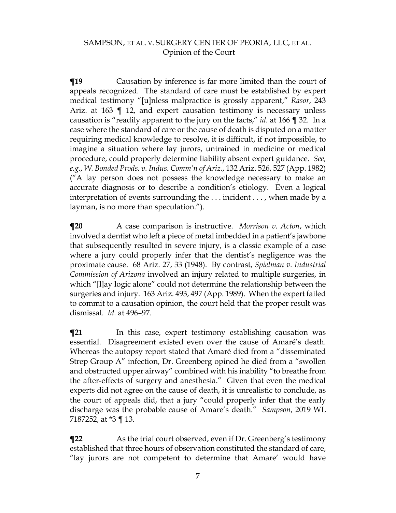**The Term** Causation by inference is far more limited than the court of appeals recognized. The standard of care must be established by expert medical testimony "[u]nless malpractice is grossly apparent," *Rasor*, 243 Ariz. at 163 ¶ 12, and expert causation testimony is necessary unless causation is "readily apparent to the jury on the facts," *id.* at 166 ¶ 32. In a case where the standard of care or the cause of death is disputed on a matter requiring medical knowledge to resolve, it is difficult, if not impossible, to imagine a situation where lay jurors, untrained in medicine or medical procedure, could properly determine liability absent expert guidance. *See, e.g.*, *W. Bonded Prods. v. Indus. Comm'n of Ariz.*, 132 Ariz. 526, 527 (App. 1982) ("A lay person does not possess the knowledge necessary to make an accurate diagnosis or to describe a condition's etiology. Even a logical interpretation of events surrounding the . . . incident . . . , when made by a layman, is no more than speculation.").

**¶20** A case comparison is instructive. *Morrison v. Acton*, which involved a dentist who left a piece of metal imbedded in a patient's jawbone that subsequently resulted in severe injury, is a classic example of a case where a jury could properly infer that the dentist's negligence was the proximate cause. 68 Ariz. 27, 33 (1948). By contrast, *Spielman v. Industrial Commission of Arizona* involved an injury related to multiple surgeries, in which "[l]ay logic alone" could not determine the relationship between the surgeries and injury. 163 Ariz. 493, 497 (App. 1989). When the expert failed to commit to a causation opinion, the court held that the proper result was dismissal. *Id.* at 496–97.

**¶21** In this case, expert testimony establishing causation was essential. Disagreement existed even over the cause of Amaré's death. Whereas the autopsy report stated that Amaré died from a "disseminated Strep Group A" infection, Dr. Greenberg opined he died from a "swollen and obstructed upper airway" combined with his inability "to breathe from the after-effects of surgery and anesthesia." Given that even the medical experts did not agree on the cause of death, it is unrealistic to conclude, as the court of appeals did, that a jury "could properly infer that the early discharge was the probable cause of Amare's death." *Sampson*, 2019 WL 7187252, at \*3 ¶ 13.

**¶22** As the trial court observed, even if Dr. Greenberg's testimony established that three hours of observation constituted the standard of care, "lay jurors are not competent to determine that Amare' would have